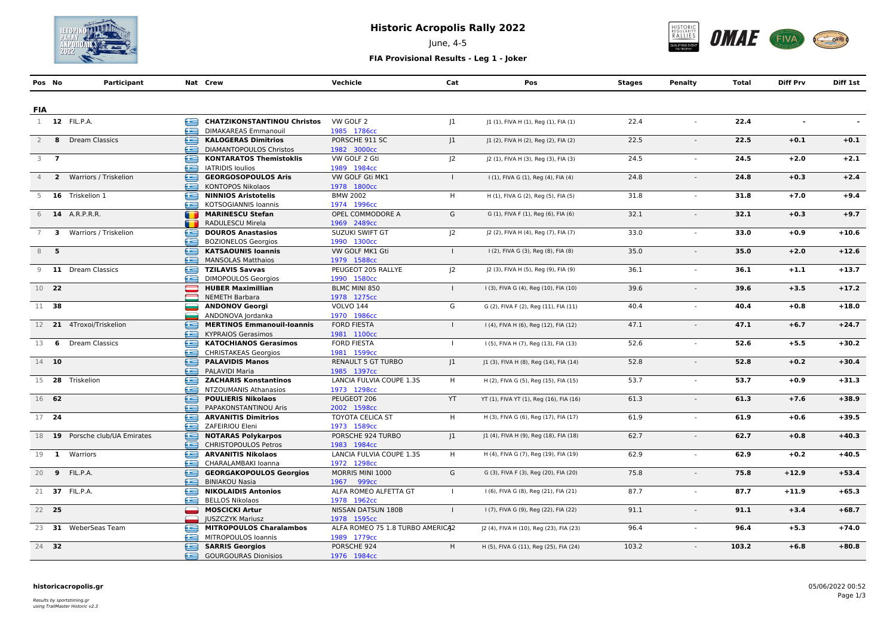

## **Historic Acropolis Rally 2022**

June, 4-5



**FIA Provisional Results - Leg 1 - Joker**

|                | Pos No                  | Participant                    |        | Nat Crew                                                                          | Vechicle                                        | Cat            | Pos                                     | Stages | Penalty | Total | Diff Prv       | Diff 1st |
|----------------|-------------------------|--------------------------------|--------|-----------------------------------------------------------------------------------|-------------------------------------------------|----------------|-----------------------------------------|--------|---------|-------|----------------|----------|
| <b>FIA</b>     |                         |                                |        |                                                                                   |                                                 |                |                                         |        |         |       |                |          |
|                |                         | 1 12 FIL.P.A.                  | £<br>œ | <b>CHATZIKONSTANTINOU Christos</b><br>DIMAKAREAS Emmanouil                        | VW GOLF 2<br>1985 1786cc                        | 1              | J1 (1), FIVA H (1), Reg (1), FIA (1)    | 22.4   |         | 22.4  | $\blacksquare$ |          |
| 2              |                         | 8 Dream Classics               | 鱼<br>æ | <b>KALOGERAS Dimitrios</b><br><b>DIAMANTOPOULOS Christos</b>                      | PORSCHE 911 SC<br>1982 3000cc                   | 1              | J1 (2), FIVA H (2), Reg (2), FIA (2)    | 22.5   |         | 22.5  | $+0.1$         | $+0.1$   |
|                | $3 \overline{7}$        |                                | œ<br>æ | <b>KONTARATOS Themistoklis</b><br><b>IATRIDIS Ioulios</b>                         | VW GOLF 2 Gti<br>1989 1984cc                    | $ 2\rangle$    | J2 (1), FIVA H (3), Reg (3), FIA (3)    | 24.5   |         | 24.5  | $+2.0$         | $+2.1$   |
| $\overline{4}$ |                         | 2 Warriors / Triskelion        | ≘<br>æ | <b>GEORGOSOPOULOS Aris</b><br><b>KONTOPOS Nikolaos</b>                            | VW GOLF Gti MK1<br>1978 1800cc                  | $\mathbf{I}$   | I (1), FIVA G (1), Reg (4), FIA (4)     | 24.8   | $\sim$  | 24.8  | $+0.3$         | $+2.4$   |
| 5              |                         | 16 Triskelion 1                | ≘<br>æ | <b>NINNIOS Aristotelis</b><br>KOTSOGIANNIS Ioannis                                | <b>BMW 2002</b><br>1974 1996сс                  | H              | H (1), FIVA G (2), Reg (5), FIA (5)     | 31.8   |         | 31.8  | $+7.0$         | $+9.4$   |
|                |                         | 6 <b>14</b> A.R.P.R.R.         | Œ      | <b>MARINESCU Stefan</b><br>RADULESCU Mirela                                       | OPEL COMMODORE A<br>1969 2489cc                 | G              | G (1), FIVA F (1), Reg (6), FIA (6)     | 32.1   | $\sim$  | 32.1  | $+0.3$         | $+9.7$   |
|                | $\overline{\mathbf{3}}$ | Warriors / Triskelion          | £<br>œ | <b>DOUROS Anastasios</b><br><b>BOZIONELOS Georgios</b>                            | <b>SUZUKI SWIFT GT</b><br>1990 1300cc           | $ 2\rangle$    | J2 (2), FIVA H (4), Reg (7), FIA (7)    | 33.0   |         | 33.0  | $+0.9$         | $+10.6$  |
|                | 8 5                     |                                | £      | <b>KATSAOUNIS Ioannis</b><br>MANSOLAS Matthaios                                   | VW GOLF MK1 Gti<br>1979 1588cc                  | $\mathbf{I}$   | I (2), FIVA G (3), Reg (8), FIA (8)     | 35.0   | $\sim$  | 35.0  | $+2.0$         | $+12.6$  |
|                |                         | 9 11 Dream Classics            | œ<br>æ | <b>TZILAVIS Savvas</b><br><b>DIMOPOULOS Georgios</b>                              | PEUGEOT 205 RALLYE<br>1990 1580cc               | J <sub>2</sub> | J2 (3), FIVA H (5), Reg (9), FIA (9)    | 36.1   | $\sim$  | 36.1  | $+1.1$         | $+13.7$  |
|                | 10 22                   |                                |        | <b>HUBER Maximillian</b><br><b>NEMETH Barbara</b>                                 | <b>BLMC MINI 850</b><br>1978 1275cc             | $\mathbf{I}$   | I (3), FIVA G (4), Reg (10), FIA (10)   | 39.6   |         | 39.6  | $+3.5$         | $+17.2$  |
|                | $11$ 38                 |                                |        | <b>ANDONOV Georgi</b><br>ANDONOVA Jordanka                                        | <b>VOLVO 144</b><br>1970 1986сс                 | G              | G (2), FIVA F (2), Reg (11), FIA (11)   | 40.4   |         | 40.4  | $+0.8$         | $+18.0$  |
|                |                         | 12 21 4Troxoi/Triskelion       | ≘      | <b>MERTINOS Emmanouil-Ioannis</b><br><b>Example 2</b> KYPRAIOS Gerasimos          | <b>FORD FIESTA</b><br>1981 1100cc               | $\mathbf{I}$   | I (4), FIVA H (6), Reg (12), FIA (12)   | 47.1   |         | 47.1  | $+6.7$         | $+24.7$  |
| 13             |                         | <b>6</b> Dream Classics        | œ<br>æ | <b>KATOCHIANOS Gerasimos</b><br><b>CHRISTAKEAS Georgios</b>                       | <b>FORD FIESTA</b><br>1981 1599cc               | $\mathbf{L}$   | I (5), FIVA H (7), Req (13), FIA (13)   | 52.6   |         | 52.6  | $+5.5$         | $+30.2$  |
|                | 14 10                   |                                | ≘<br>æ | <b>PALAVIDIS Manos</b><br><b>PALAVIDI Maria</b>                                   | <b>RENAULT 5 GT TURBO</b><br>1985 1397cc        | 1              | J1 (3), FIVA H (8), Reg (14), FIA (14)  | 52.8   | $\sim$  | 52.8  | $+0.2$         | $+30.4$  |
|                |                         | 15 28 Triskelion               | œ<br>æ | <b>ZACHARIS Konstantinos</b><br>NTZOUMANIS Athanasios                             | LANCIA FULVIA COUPE 1.3S<br>1973 1298cc         | H              | H (2), FIVA G (5), Reg (15), FIA (15)   | 53.7   |         | 53.7  | $+0.9$         | $+31.3$  |
|                | 16 62                   |                                | ≘      | <b>POULIERIS Nikolaos</b><br>PAPAKONSTANTINOU Aris                                | PEUGEOT 206<br>2002 1598cc                      | YT             | YT (1), FIVA YT (1), Reg (16), FIA (16) | 61.3   | $\sim$  | 61.3  | $+7.6$         | $+38.9$  |
|                | 17 24                   |                                | œ<br>æ | <b>ARVANITIS Dimitrios</b><br>ZAFEIRIOU Eleni                                     | TOYOTA CELICA ST<br>1973 1589cc                 | H              | H (3), FIVA G (6), Reg (17), FIA (17)   | 61.9   | $\sim$  | 61.9  | $+0.6$         | $+39.5$  |
|                |                         | 18 19 Porsche club/UA Emirates | œ<br>œ | <b>NOTARAS Polykarpos</b><br><b>CHRISTOPOULOS Petros</b>                          | PORSCHE 924 TURBO<br>1983 1984cc                | 1              | J1 (4), FIVA H (9), Reg (18), FIA (18)  | 62.7   | $\sim$  | 62.7  | $+0.8$         | $+40.3$  |
|                |                         | 19 1 Warriors                  | œ<br>œ | <b>ARVANITIS Nikolaos</b><br>CHARALAMBAKI Ioanna                                  | LANCIA FULVIA COUPE 1.3S<br>1972 1298cc         | H              | H (4), FIVA G (7), Reg (19), FIA (19)   | 62.9   | $\sim$  | 62.9  | $+0.2$         | $+40.5$  |
|                |                         | 20 9 FIL.P.A.                  | œ<br>æ | <b>GEORGAKOPOULOS Georgios</b><br><b>BINIAKOU Nasia</b>                           | MORRIS MINI 1000<br>1967 999сс                  | G              | G (3), FIVA F (3), Reg (20), FIA (20)   | 75.8   | $\sim$  | 75.8  | $+12.9$        | $+53.4$  |
|                |                         | 21 37 FIL.P.A.                 | ≘      | <b>NIKOLAIDIS Antonios</b><br>BELLOS Nikolaos                                     | ALFA ROMEO ALFETTA GT<br>1978 1962cc            | $\mathbf{I}$   | I (6), FIVA G (8), Reg (21), FIA (21)   | 87.7   |         | 87.7  | $+11.9$        | $+65.3$  |
|                | 22 25                   |                                |        | <b>MOSCICKI Artur</b><br><b>NATIONAL PROPERTY IN THE PROPERTY IN THE PROPERTY</b> | NISSAN DATSUN 180B<br>1978 1595cc               | $\mathbf{I}$   | I (7), FIVA G (9), Reg (22), FIA (22)   | 91.1   |         | 91.1  | $+3.4$         | $+68.7$  |
|                |                         | 23 31 WeberSeas Team           | £<br>æ | <b>MITROPOULOS Charalambos</b><br>MITROPOULOS Ioannis                             | ALFA ROMEO 75 1.8 TURBO AMERICA2<br>1989 1779cc |                | J2 (4), FIVA H (10), Reg (23), FIA (23) | 96.4   |         | 96.4  | $+5.3$         | $+74.0$  |
|                | 24 32                   |                                | ⊟<br>æ | <b>SARRIS Georgios</b><br><b>GOURGOURAS Dionisios</b>                             | PORSCHE 924<br>1976 1984cc                      | H              | H (5), FIVA G (11), Reg (25), FIA (24)  | 103.2  |         | 103.2 | $+6.8$         | $+80.8$  |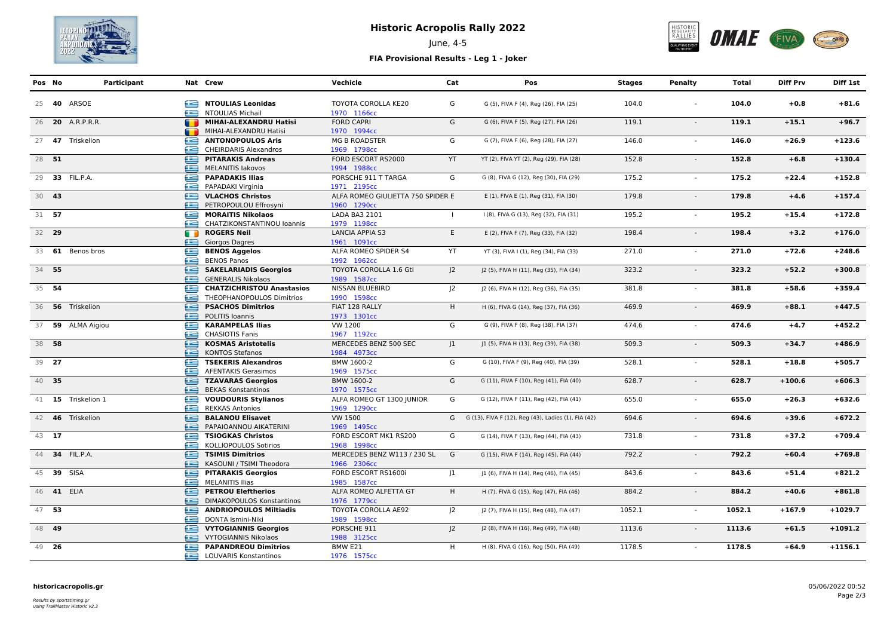

## **Historic Acropolis Rally 2022**

June, 4-5



### **FIA Provisional Results - Leg 1 - Joker**

| Pos No |       | Participant             |                | Nat Crew                                                      | Vechicle                             | Cat          | Pos                                                   | <b>Stages</b> | Penalty                     | <b>Total</b> | Diff Prv | Diff 1st  |
|--------|-------|-------------------------|----------------|---------------------------------------------------------------|--------------------------------------|--------------|-------------------------------------------------------|---------------|-----------------------------|--------------|----------|-----------|
|        |       |                         |                |                                                               |                                      |              |                                                       |               |                             |              |          |           |
|        |       | 25 <b>40</b> ARSOE      | œ              | <b>NTOULIAS Leonidas</b><br>NTOULIAS Michail                  | TOYOTA COROLLA KE20                  | G            | G (5), FIVA F (4), Reg (26), FIA (25)                 | 104.0         |                             | 104.0        | $+0.8$   | $+81.6$   |
|        |       | 26 <b>20</b> A.R.P.R.R. |                | MIHAI-ALEXANDRU Hatisi                                        | 1970 1166cc<br><b>FORD CAPRI</b>     | G            | G (6), FIVA F (5), Reg (27), FIA (26)                 | 119.1         | $\sim$                      | 119.1        | $+15.1$  | $+96.7$   |
|        |       |                         | $\blacksquare$ | MIHAI-ALEXANDRU Hatisi                                        | 1970 1994cc                          |              |                                                       |               |                             |              |          |           |
|        |       | 27 47 Triskelion        | œ              | <b>ANTONOPOULOS Aris</b>                                      | <b>MG B ROADSTER</b>                 | G            | G (7), FIVA F (6), Reg (28), FIA (27)                 | 146.0         | $\blacksquare$              | 146.0        | $+26.9$  | $+123.6$  |
|        |       |                         |                | <b>CHEIRDARIS Alexandros</b>                                  | 1969 1798cc                          |              |                                                       |               |                             |              |          |           |
| 28 51  |       |                         | ∈              | <b>PITARAKIS Andreas</b>                                      | FORD ESCORT RS2000                   | YT           | YT (2), FIVA YT (2), Reg (29), FIA (28)               | 152.8         | $\blacksquare$              | 152.8        | $+6.8$   | $+130.4$  |
|        |       |                         | æ              | <b>MELANITIS lakovos</b>                                      | 1994 1988cc                          |              |                                                       |               |                             |              |          |           |
|        |       | 29 33 FIL.P.A.          | £              | <b>PAPADAKIS Ilias</b>                                        | PORSCHE 911 T TARGA                  | G            | G (8), FIVA G (12), Reg (30), FIA (29)                | 175.2         |                             | 175.2        | $+22.4$  | $+152.8$  |
|        |       |                         | £              | PAPADAKI Virginia                                             | 1971 2195cc                          |              |                                                       |               |                             |              |          |           |
|        | 30 43 |                         | ⊜              | <b>VLACHOS Christos</b>                                       | ALFA ROMEO GIULIETTA 750 SPIDER E    |              | E (1), FIVA E (1), Reg (31), FIA (30)                 | 179.8         | $\sim$                      | 179.8        | $+4.6$   | $+157.4$  |
|        |       |                         | e              | PETROPOULOU Effrosyni                                         | 1960 1290cc                          |              |                                                       |               |                             |              |          |           |
| 31 57  |       |                         | ⊜              | <b>MORAITIS Nikolaos</b>                                      | LADA BA3 2101                        | $\mathbf{I}$ | I (8), FIVA G (13), Reg (32), FIA (31)                | 195.2         | $\sim$                      | 195.2        | $+15.4$  | $+172.8$  |
|        |       |                         | æ              | CHATZIKONSTANTINOU Ioannis                                    | 1979 1198cc                          |              |                                                       |               |                             |              |          |           |
| 32 29  |       |                         |                | <b>ROGERS Neil</b>                                            | <b>LANCIA APPIA S3</b>               | E.           | E (2), FIVA F (7), Reg (33), FIA (32)                 | 198.4         | $\mathcal{L}$               | 198.4        | $+3.2$   | $+176.0$  |
|        |       |                         | œ              | Giorgos Dagres                                                | 1961 1091cc                          |              |                                                       |               |                             |              |          |           |
|        |       | 33 61 Benos bros        | œ              | <b>BENOS Aggelos</b>                                          | ALFA ROMEO SPIDER S4                 | YT           | YT (3), FIVA I (1), Reg (34), FIA (33)                | 271.0         | $\blacksquare$              | 271.0        | $+72.6$  | $+248.6$  |
|        |       |                         | æ              | <b>BENOS Panos</b>                                            | 1992 1962cc                          |              |                                                       |               |                             |              |          |           |
| 34 55  |       |                         | e              | <b>SAKELARIADIS Georgios</b>                                  | TOYOTA COROLLA 1.6 Gti               | 2            | J2 (5), FIVA H (11), Reg (35), FIA (34)               | 323.2         | $\mathcal{L}$               | 323.2        | $+52.2$  | $+300.8$  |
|        |       |                         |                | <b>GENERALIS Nikolaos</b>                                     | 1989 1587cc                          |              |                                                       |               |                             |              |          |           |
|        | 35 54 |                         | ⊜              | <b>CHATZICHRISTOU Anastasios</b>                              | NISSAN BLUEBIRD                      | 2            | J2 (6), FIVA H (12), Reg (36), FIA (35)               | 381.8         | $\blacksquare$              | 381.8        | $+58.6$  | $+359.4$  |
|        |       |                         | æ              | THEOPHANOPOULOS Dimitrios                                     | 1990 1598cc                          |              |                                                       |               | $\mathcal{L}$               |              |          |           |
|        |       | 36 56 Triskelion        | e<br>£         | <b>PSACHOS Dimitrios</b><br>POLITIS Ioannis                   | FIAT 128 RALLY<br>1973 1301cc        | H            | H (6), FIVA G (14), Reg (37), FIA (36)                | 469.9         |                             | 469.9        | $+88.1$  | $+447.5$  |
|        |       | 37 59 ALMA Aigiou       | e              | <b>KARAMPELAS Ilias</b>                                       | VW 1200                              | G            | G (9), FIVA F (8), Reg (38), FIA (37)                 | 474.6         | $\blacksquare$              | 474.6        | $+4.7$   | $+452.2$  |
|        |       |                         | æ              | <b>CHASIOTIS Fanis</b>                                        | 1967 1192cc                          |              |                                                       |               |                             |              |          |           |
|        | 38 58 |                         | $\blacksquare$ | <b>KOSMAS Aristotelis</b>                                     | MERCEDES BENZ 500 SEC                | 1            | J1 (5), FIVA H (13), Reg (39), FIA (38)               | 509.3         | $\mathcal{L}^{\mathcal{L}}$ | 509.3        | $+34.7$  | $+486.9$  |
|        |       |                         | œ              | <b>KONTOS Stefanos</b>                                        | 1984 4973cc                          |              |                                                       |               |                             |              |          |           |
| 39 27  |       |                         | £              | <b>TSEKERIS Alexandros</b>                                    | BMW 1600-2                           | G            | G (10), FIVA F (9), Reg (40), FIA (39)                | 528.1         | $\blacksquare$              | 528.1        | $+18.8$  | $+505.7$  |
|        |       |                         |                | <b>AFENTAKIS Gerasimos</b>                                    | 1969 1575cc                          |              |                                                       |               |                             |              |          |           |
|        | 40 35 |                         | e              | <b>TZAVARAS Georgios</b>                                      | BMW 1600-2                           | G            | G (11), FIVA F (10), Reg (41), FIA (40)               | 628.7         | $\mathcal{L}$               | 628.7        | $+100.6$ | $+606.3$  |
|        |       |                         | æ              | <b>BEKAS Konstantinos</b>                                     | 1970 1575cc                          |              |                                                       |               |                             |              |          |           |
|        |       | 41 15 Triskelion 1      | £              | <b>VOUDOURIS Stylianos</b>                                    | ALFA ROMEO GT 1300 JUNIOR            | G            | G (12), FIVA F (11), Reg (42), FIA (41)               | 655.0         | $\blacksquare$              | 655.0        | $+26.3$  | $+632.6$  |
|        |       |                         | æ              | <b>REKKAS Antonios</b>                                        | 1969 1290cc                          |              |                                                       |               |                             |              |          |           |
|        |       | 42 46 Triskelion        | ఆ              | <b>BALANOU Elisavet</b>                                       | VW 1500                              |              | G G (13), FIVA F (12), Reg (43), Ladies (1), FIA (42) | 694.6         | $\sim$                      | 694.6        | $+39.6$  | $+672.2$  |
|        |       |                         | £              | PAPAIOANNOU AIKATERINI                                        | 1969 1495cc                          |              |                                                       |               |                             |              |          |           |
|        | 43 17 |                         | ≘              | <b>TSIOGKAS Christos</b>                                      | FORD ESCORT MK1 RS200                | G            | G (14), FIVA F (13), Reg (44), FIA (43)               | 731.8         | $\sim$                      | 731.8        | $+37.2$  | $+709.4$  |
|        |       |                         | œ              | KOLLIOPOULOS Sotirios                                         | 1968 1998cc                          |              |                                                       |               |                             |              |          |           |
|        |       | 44 34 FIL.P.A.          | œ              | <b>TSIMIS Dimitrios</b>                                       | MERCEDES BENZ W113 / 230 SL          | G            | G (15), FIVA F (14), Reg (45), FIA (44)               | 792.2         | $\mathcal{L}$               | 792.2        | $+60.4$  | $+769.8$  |
|        |       |                         | œ              | KASOUNI / TSIMI Theodora                                      | 1966 2306cc                          |              |                                                       |               |                             |              |          |           |
|        |       | 45 39 SISA              | £<br>œ         | <b>PITARAKIS Georgios</b>                                     | FORD ESCORT RS1600i                  | 1            | J1 (6), FIVA H (14), Reg (46), FIA (45)               | 843.6         | $\blacksquare$              | 843.6        | $+51.4$  | $+821.2$  |
|        |       |                         |                | <b>MELANITIS Ilias</b>                                        | 1985 1587cc                          |              |                                                       |               |                             |              |          |           |
|        |       | 46 41 ELIA              | ∈              | <b>PETROU Eleftherios</b><br><b>DIMAKOPOULOS Konstantinos</b> | ALFA ROMEO ALFETTA GT<br>1976 1779cc | H            | H (7), FIVA G (15), Reg (47), FIA (46)                | 884.2         | $\blacksquare$              | 884.2        | $+40.6$  | $+861.8$  |
|        | 47 53 |                         | e              | <b>ANDRIOPOULOS Miltiadis</b>                                 | TOYOTA COROLLA AE92                  | 2            | J2 (7), FIVA H (15), Reg (48), FIA (47)               | 1052.1        |                             | 1052.1       | $+167.9$ | $+1029.7$ |
|        |       |                         | £              | DONTA Ismini-Niki                                             | 1989 1598cc                          |              |                                                       |               |                             |              |          |           |
| 48 49  |       |                         | ≘              | <b>VYTOGIANNIS Georgios</b>                                   | PORSCHE 911                          | 2            | J2 (8), FIVA H (16), Reg (49), FIA (48)               | 1113.6        | $\sim$                      | 1113.6       | $+61.5$  | $+1091.2$ |
|        |       |                         | æ              | <b>VYTOGIANNIS Nikolaos</b>                                   | 1988 3125cc                          |              |                                                       |               |                             |              |          |           |
|        | 49 26 |                         | œ              | <b>PAPANDREOU Dimitrios</b>                                   | BMW E21                              | H            | H (8), FIVA G (16), Reg (50), FIA (49)                | 1178.5        |                             | 1178.5       | $+64.9$  | $+1156.1$ |
|        |       |                         | æ              | LOUVARIS Konstantinos                                         | 1976 1575cc                          |              |                                                       |               |                             |              |          |           |